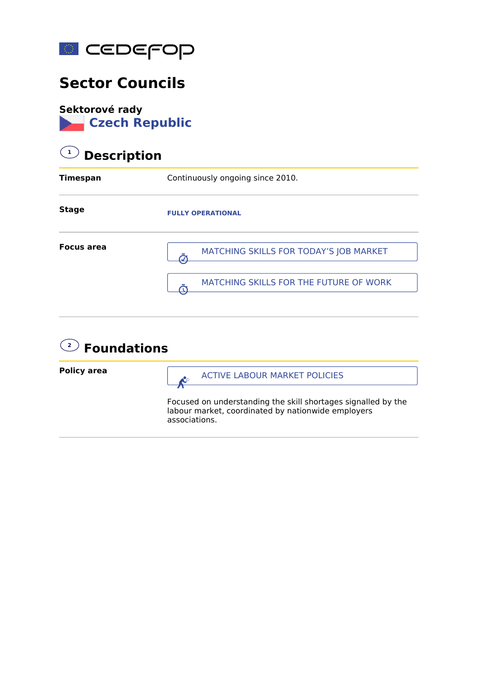

## **Sector Councils**

**Sektorové rady Czech Republic**

### **1 Description**

| Timespan          | Continuously ongoing since 2010.       |
|-------------------|----------------------------------------|
| <b>Stage</b>      | <b>FULLY OPERATIONAL</b>               |
| <b>Focus area</b> | MATCHING SKILLS FOR TODAY'S JOB MARKET |
|                   | MATCHING SKILLS FOR THE FUTURE OF WORK |

#### **2 Foundations**

**Policy area**

ACTIVE LABOUR MARKET POLICIES

Focused on understanding the skill shortages signalled by the labour market, coordinated by nationwide employers associations.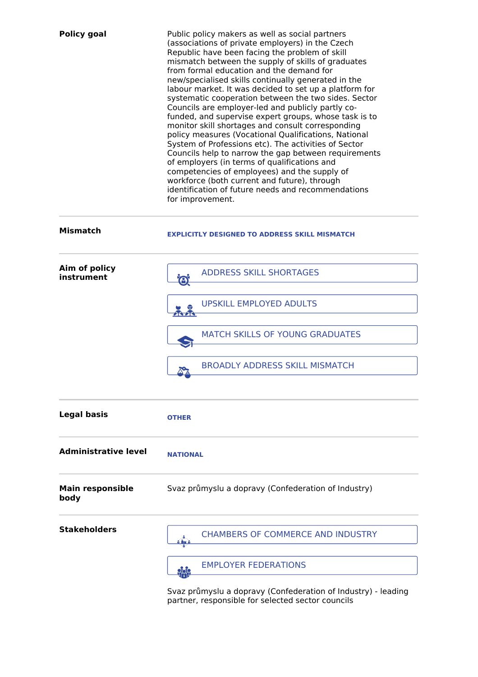| <b>Policy goal</b>              | Public policy makers as well as social partners<br>(associations of private employers) in the Czech<br>Republic have been facing the problem of skill<br>mismatch between the supply of skills of graduates<br>from formal education and the demand for<br>new/specialised skills continually generated in the<br>labour market. It was decided to set up a platform for<br>systematic cooperation between the two sides. Sector<br>Councils are employer-led and publicly partly co-<br>funded, and supervise expert groups, whose task is to<br>monitor skill shortages and consult corresponding<br>policy measures (Vocational Qualifications, National<br>System of Professions etc). The activities of Sector<br>Councils help to narrow the gap between requirements<br>of employers (in terms of qualifications and<br>competencies of employees) and the supply of<br>workforce (both current and future), through<br>identification of future needs and recommendations<br>for improvement. |
|---------------------------------|-------------------------------------------------------------------------------------------------------------------------------------------------------------------------------------------------------------------------------------------------------------------------------------------------------------------------------------------------------------------------------------------------------------------------------------------------------------------------------------------------------------------------------------------------------------------------------------------------------------------------------------------------------------------------------------------------------------------------------------------------------------------------------------------------------------------------------------------------------------------------------------------------------------------------------------------------------------------------------------------------------|
| <b>Mismatch</b>                 | <b>EXPLICITLY DESIGNED TO ADDRESS SKILL MISMATCH</b>                                                                                                                                                                                                                                                                                                                                                                                                                                                                                                                                                                                                                                                                                                                                                                                                                                                                                                                                                  |
| Aim of policy<br>instrument     | <b>ADDRESS SKILL SHORTAGES</b><br><b>B</b>                                                                                                                                                                                                                                                                                                                                                                                                                                                                                                                                                                                                                                                                                                                                                                                                                                                                                                                                                            |
|                                 | <b>UPSKILL EMPLOYED ADULTS</b>                                                                                                                                                                                                                                                                                                                                                                                                                                                                                                                                                                                                                                                                                                                                                                                                                                                                                                                                                                        |
|                                 | <b>MATCH SKILLS OF YOUNG GRADUATES</b>                                                                                                                                                                                                                                                                                                                                                                                                                                                                                                                                                                                                                                                                                                                                                                                                                                                                                                                                                                |
|                                 | <b>BROADLY ADDRESS SKILL MISMATCH</b>                                                                                                                                                                                                                                                                                                                                                                                                                                                                                                                                                                                                                                                                                                                                                                                                                                                                                                                                                                 |
| <b>Legal basis</b>              | <b>OTHER</b>                                                                                                                                                                                                                                                                                                                                                                                                                                                                                                                                                                                                                                                                                                                                                                                                                                                                                                                                                                                          |
| <b>Administrative level</b>     | <b>NATIONAL</b>                                                                                                                                                                                                                                                                                                                                                                                                                                                                                                                                                                                                                                                                                                                                                                                                                                                                                                                                                                                       |
| <b>Main responsible</b><br>body | Svaz průmyslu a dopravy (Confederation of Industry)                                                                                                                                                                                                                                                                                                                                                                                                                                                                                                                                                                                                                                                                                                                                                                                                                                                                                                                                                   |
| <b>Stakeholders</b>             | <b>CHAMBERS OF COMMERCE AND INDUSTRY</b><br>å Mari                                                                                                                                                                                                                                                                                                                                                                                                                                                                                                                                                                                                                                                                                                                                                                                                                                                                                                                                                    |
|                                 | <b>EMPLOYER FEDERATIONS</b><br><u>999</u>                                                                                                                                                                                                                                                                                                                                                                                                                                                                                                                                                                                                                                                                                                                                                                                                                                                                                                                                                             |
|                                 | Svaz průmyslu a dopravy (Confederation of Industry) - leading<br>partner, responsible for selected sector councils                                                                                                                                                                                                                                                                                                                                                                                                                                                                                                                                                                                                                                                                                                                                                                                                                                                                                    |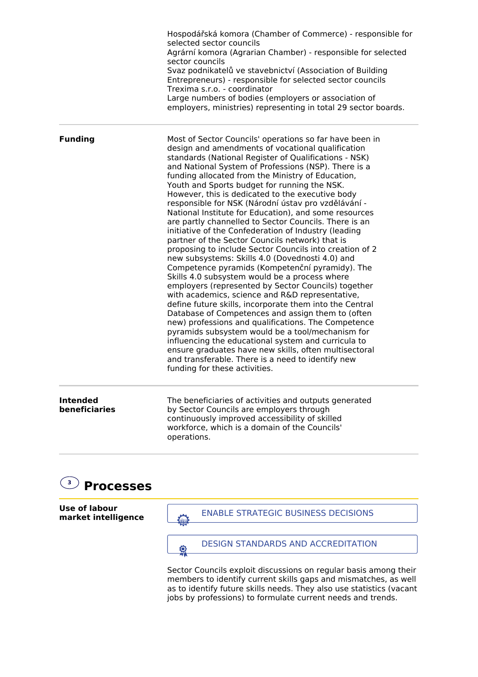|                                  | Hospodářská komora (Chamber of Commerce) - responsible for<br>selected sector councils<br>Agrární komora (Agrarian Chamber) - responsible for selected<br>sector councils<br>Svaz podnikatelů ve stavebnictví (Association of Building<br>Entrepreneurs) - responsible for selected sector councils<br>Trexima s.r.o. - coordinator<br>Large numbers of bodies (employers or association of<br>employers, ministries) representing in total 29 sector boards.                                                                                                                                                                                                                                                                                                                                                                                                                                                                                                                                                                                                                                                                                                                                                                                                                                                                                                                                                                           |
|----------------------------------|-----------------------------------------------------------------------------------------------------------------------------------------------------------------------------------------------------------------------------------------------------------------------------------------------------------------------------------------------------------------------------------------------------------------------------------------------------------------------------------------------------------------------------------------------------------------------------------------------------------------------------------------------------------------------------------------------------------------------------------------------------------------------------------------------------------------------------------------------------------------------------------------------------------------------------------------------------------------------------------------------------------------------------------------------------------------------------------------------------------------------------------------------------------------------------------------------------------------------------------------------------------------------------------------------------------------------------------------------------------------------------------------------------------------------------------------|
| <b>Funding</b>                   | Most of Sector Councils' operations so far have been in<br>design and amendments of vocational qualification<br>standards (National Register of Qualifications - NSK)<br>and National System of Professions (NSP). There is a<br>funding allocated from the Ministry of Education,<br>Youth and Sports budget for running the NSK.<br>However, this is dedicated to the executive body<br>responsible for NSK (Národní ústav pro vzdělávání -<br>National Institute for Education), and some resources<br>are partly channelled to Sector Councils. There is an<br>initiative of the Confederation of Industry (leading<br>partner of the Sector Councils network) that is<br>proposing to include Sector Councils into creation of 2<br>new subsystems: Skills 4.0 (Dovednosti 4.0) and<br>Competence pyramids (Kompetenční pyramidy). The<br>Skills 4.0 subsystem would be a process where<br>employers (represented by Sector Councils) together<br>with academics, science and R&D representative,<br>define future skills, incorporate them into the Central<br>Database of Competences and assign them to (often<br>new) professions and qualifications. The Competence<br>pyramids subsystem would be a tool/mechanism for<br>influencing the educational system and curricula to<br>ensure graduates have new skills, often multisectoral<br>and transferable. There is a need to identify new<br>funding for these activities. |
| <b>Intended</b><br>beneficiaries | The beneficiaries of activities and outputs generated<br>by Sector Councils are employers through                                                                                                                                                                                                                                                                                                                                                                                                                                                                                                                                                                                                                                                                                                                                                                                                                                                                                                                                                                                                                                                                                                                                                                                                                                                                                                                                       |

continuously improved accessibility of skilled workforce, which is a domain of the Councils' operations.

# **3 Processes**

**Use of labour market intelligence**



Sector Councils exploit discussions on regular basis among their members to identify current skills gaps and mismatches, as well as to identify future skills needs. They also use statistics (vacant jobs by professions) to formulate current needs and trends.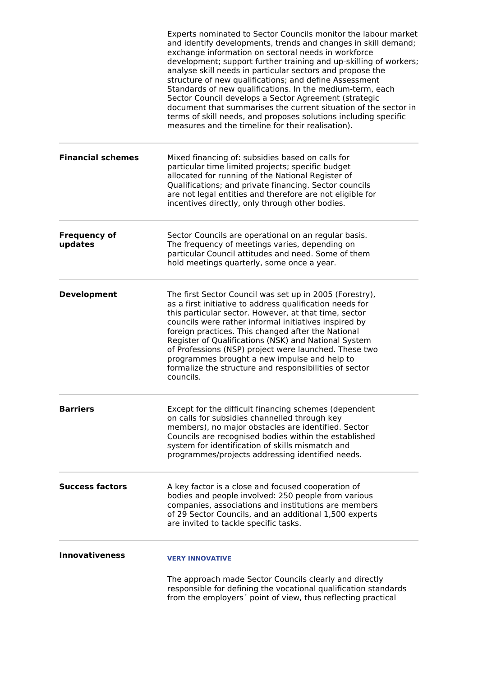|                                | Experts nominated to Sector Councils monitor the labour market<br>and identify developments, trends and changes in skill demand;<br>exchange information on sectoral needs in workforce<br>development; support further training and up-skilling of workers;<br>analyse skill needs in particular sectors and propose the<br>structure of new qualifications; and define Assessment<br>Standards of new qualifications. In the medium-term, each<br>Sector Council develops a Sector Agreement (strategic<br>document that summarises the current situation of the sector in<br>terms of skill needs, and proposes solutions including specific<br>measures and the timeline for their realisation). |
|--------------------------------|------------------------------------------------------------------------------------------------------------------------------------------------------------------------------------------------------------------------------------------------------------------------------------------------------------------------------------------------------------------------------------------------------------------------------------------------------------------------------------------------------------------------------------------------------------------------------------------------------------------------------------------------------------------------------------------------------|
| <b>Financial schemes</b>       | Mixed financing of: subsidies based on calls for<br>particular time limited projects; specific budget<br>allocated for running of the National Register of<br>Qualifications; and private financing. Sector councils<br>are not legal entities and therefore are not eligible for<br>incentives directly, only through other bodies.                                                                                                                                                                                                                                                                                                                                                                 |
| <b>Frequency of</b><br>updates | Sector Councils are operational on an regular basis.<br>The frequency of meetings varies, depending on<br>particular Council attitudes and need. Some of them<br>hold meetings quarterly, some once a year.                                                                                                                                                                                                                                                                                                                                                                                                                                                                                          |
| <b>Development</b>             | The first Sector Council was set up in 2005 (Forestry),<br>as a first initiative to address qualification needs for<br>this particular sector. However, at that time, sector<br>councils were rather informal initiatives inspired by<br>foreign practices. This changed after the National<br>Register of Qualifications (NSK) and National System<br>of Professions (NSP) project were launched. These two<br>programmes brought a new impulse and help to<br>formalize the structure and responsibilities of sector<br>councils.                                                                                                                                                                  |
| <b>Barriers</b>                | Except for the difficult financing schemes (dependent<br>on calls for subsidies channelled through key<br>members), no major obstacles are identified. Sector<br>Councils are recognised bodies within the established<br>system for identification of skills mismatch and<br>programmes/projects addressing identified needs.                                                                                                                                                                                                                                                                                                                                                                       |
| <b>Success factors</b>         | A key factor is a close and focused cooperation of<br>bodies and people involved: 250 people from various<br>companies, associations and institutions are members<br>of 29 Sector Councils, and an additional 1,500 experts<br>are invited to tackle specific tasks.                                                                                                                                                                                                                                                                                                                                                                                                                                 |
| <b>Innovativeness</b>          | <b>VERY INNOVATIVE</b>                                                                                                                                                                                                                                                                                                                                                                                                                                                                                                                                                                                                                                                                               |
|                                | The approach made Sector Councils clearly and directly<br>responsible for defining the vocational qualification standards<br>from the employers' point of view, thus reflecting practical                                                                                                                                                                                                                                                                                                                                                                                                                                                                                                            |